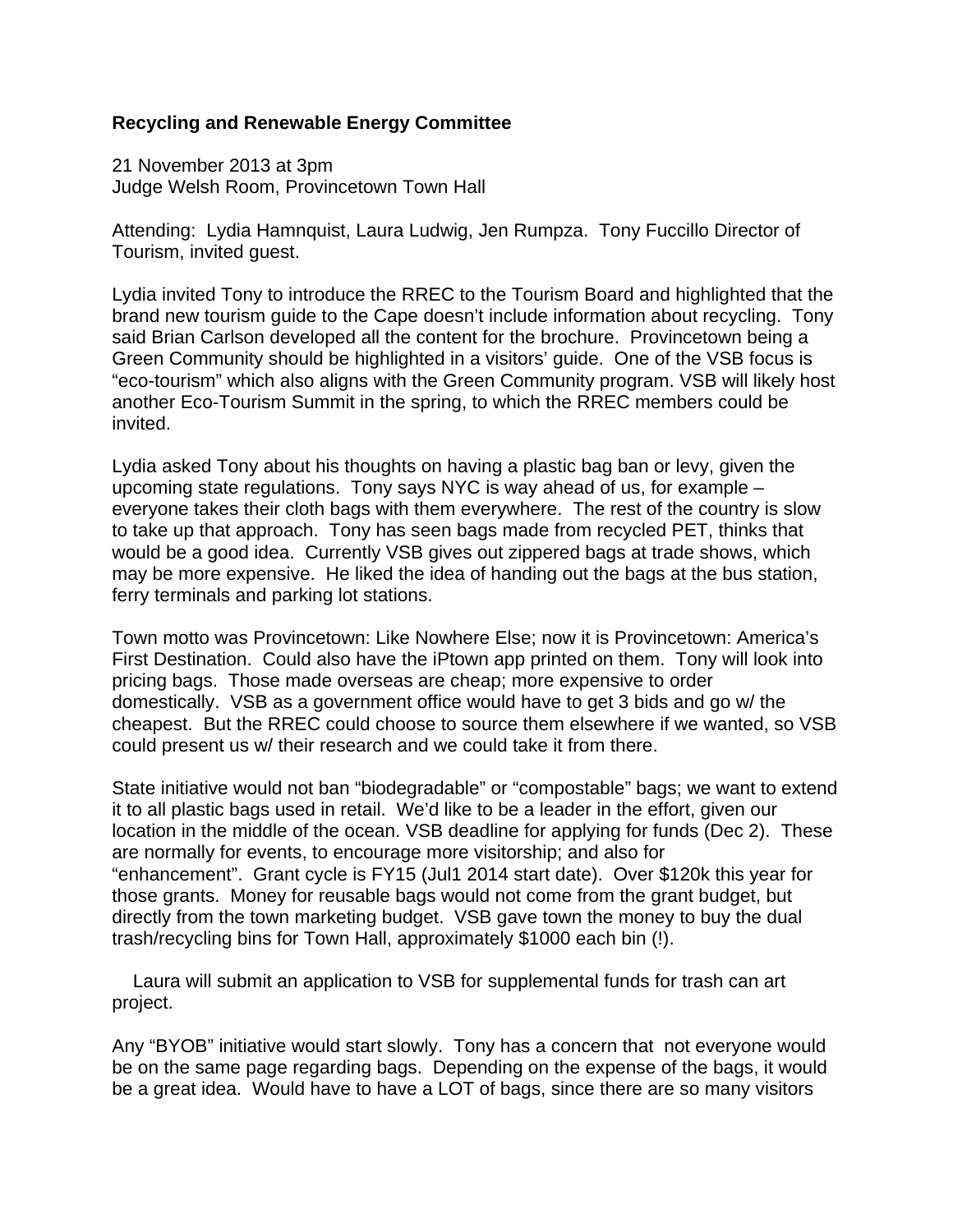## **Recycling and Renewable Energy Committee**

21 November 2013 at 3pm Judge Welsh Room, Provincetown Town Hall

Attending: Lydia Hamnquist, Laura Ludwig, Jen Rumpza. Tony Fuccillo Director of Tourism, invited guest.

Lydia invited Tony to introduce the RREC to the Tourism Board and highlighted that the brand new tourism guide to the Cape doesn't include information about recycling. Tony said Brian Carlson developed all the content for the brochure. Provincetown being a Green Community should be highlighted in a visitors' guide. One of the VSB focus is "eco-tourism" which also aligns with the Green Community program. VSB will likely host another Eco-Tourism Summit in the spring, to which the RREC members could be invited.

Lydia asked Tony about his thoughts on having a plastic bag ban or levy, given the upcoming state regulations. Tony says NYC is way ahead of us, for example – everyone takes their cloth bags with them everywhere. The rest of the country is slow to take up that approach. Tony has seen bags made from recycled PET, thinks that would be a good idea. Currently VSB gives out zippered bags at trade shows, which may be more expensive. He liked the idea of handing out the bags at the bus station, ferry terminals and parking lot stations.

Town motto was Provincetown: Like Nowhere Else; now it is Provincetown: America's First Destination. Could also have the iPtown app printed on them. Tony will look into pricing bags. Those made overseas are cheap; more expensive to order domestically. VSB as a government office would have to get 3 bids and go w/ the cheapest. But the RREC could choose to source them elsewhere if we wanted, so VSB could present us w/ their research and we could take it from there.

State initiative would not ban "biodegradable" or "compostable" bags; we want to extend it to all plastic bags used in retail. We'd like to be a leader in the effort, given our location in the middle of the ocean. VSB deadline for applying for funds (Dec 2). These are normally for events, to encourage more visitorship; and also for "enhancement". Grant cycle is FY15 (Jul1 2014 start date). Over \$120k this year for those grants. Money for reusable bags would not come from the grant budget, but directly from the town marketing budget. VSB gave town the money to buy the dual trash/recycling bins for Town Hall, approximately \$1000 each bin (!).

 Laura will submit an application to VSB for supplemental funds for trash can art project.

Any "BYOB" initiative would start slowly. Tony has a concern that not everyone would be on the same page regarding bags. Depending on the expense of the bags, it would be a great idea. Would have to have a LOT of bags, since there are so many visitors